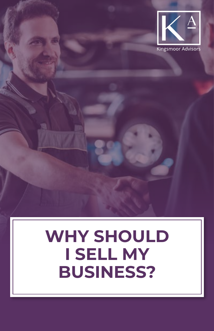

# **WHY SHOULD I SELL MY BUSINESS?**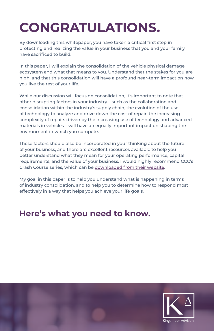# **CONGRATULATIONS.**

By downloading this whitepaper, you have taken a critical first step in protecting and realizing the value in your business that you and your family have sacrificed to build.

In this paper, I will explain the consolidation of the vehicle physical damage ecosystem and what that means to you. Understand that the stakes for you are high, and that this consolidation will have a profound near-term impact on how you live the rest of your life.

While our discussion will focus on consolidation, it's important to note that other disrupting factors in your industry – such as the collaboration and consolidation within the industry's supply chain, the evolution of the use of technology to analyze and drive down the cost of repair, the increasing complexity of repairs driven by the increasing use of technology and advanced materials in vehicles – will have an equally important impact on shaping the environment in which you compete.

These factors should also be incorporated in your thinking about the future of your business, and there are excellent resources available to help you better understand what they mean for your operating performance, capital requirements, and the value of your business. I would highly recommend CCC's Crash Course series, which can be [downloaded from their website.](https://www.cccis.com/crash-course/)

My goal in this paper is to help you understand what is happening in terms of industry consolidation, and to help you to determine how to respond most effectively in a way that helps you achieve your life goals.

#### **Here's what you need to know.**

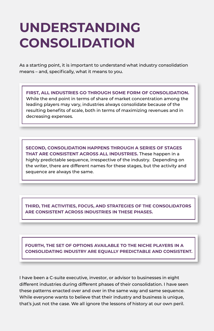## **UNDERSTANDING CONSOLIDATION**

As a starting point, it is important to understand what industry consolidation means – and, specifically, what it means to you.

**FIRST, ALL INDUSTRIES GO THROUGH SOME FORM OF CONSOLIDATION.**  While the end point in terms of share of market concentration among the leading players may vary, industries always consolidate because of the resulting benefits of scale, both in terms of maximizing revenues and in decreasing expenses.

**SECOND, CONSOLIDATION HAPPENS THROUGH A SERIES OF STAGES THAT ARE CONSISTENT ACROSS ALL INDUSTRIES.** These happen in a highly predictable sequence, irrespective of the industry. Depending on the writer, there are different names for these stages, but the activity and sequence are always the same.

**THIRD, THE ACTIVITIES, FOCUS, AND STRATEGIES OF THE CONSOLIDATORS ARE CONSISTENT ACROSS INDUSTRIES IN THESE PHASES.**

**FOURTH, THE SET OF OPTIONS AVAILABLE TO THE NICHE PLAYERS IN A CONSOLIDATING INDUSTRY ARE EQUALLY PREDICTABLE AND CONSISTENT.**

I have been a C-suite executive, investor, or advisor to businesses in eight different industries during different phases of their consolidation. I have seen these patterns enacted over and over in the same way and same sequence. While everyone wants to believe that their industry and business is unique, that's just not the case. We all ignore the lessons of history at our own peril.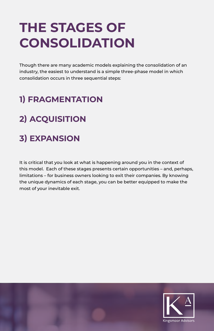# **THE STAGES OF CONSOLIDATION**

Though there are many academic models explaining the consolidation of an industry, the easiest to understand is a simple three-phase model in which consolidation occurs in three sequential steps:

### **1) FRAGMENTATION**

## **2) ACQUISITION**

#### **3) EXPANSION**

It is critical that you look at what is happening around you in the context of this model. Each of these stages presents certain opportunities – and, perhaps, limitations – for business owners looking to exit their companies. By knowing the unique dynamics of each stage, you can be better equipped to make the most of your inevitable exit.

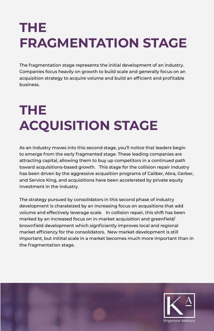# **THE FRAGMENTATION STAGE**

The fragmentation stage represents the initial development of an industry. Companies focus heavily on growth to build scale and generally focus on an acquisition strategy to acquire volume and build an efficient and profitable business.

# **THE ACQUISITION STAGE**

As an industry moves into this second stage, you'll notice that leaders begin to emerge from the early fragmented stage. These leading companies are attracting capital, allowing them to buy up competitors in a continued path toward acquisitions-based growth. This stage for the collision repair industry has been driven by the aggressive acqusition programs of Caliber, Abra, Gerber, and Service King, and acquisitions have been accelerated by private equity investment in the industry.

The strategy pursued by consolidators in this second phase of industry development is charateized by an increasing focus on acqusitions that add volume and effectively leverage scale. In collision repair, this shift has been marked by an increased focus on in-market acquisition and greenfield/ brownfield development which signficiantly improves local and regional market efficiency for the consolidators. New market development is still important, but initital scale in a market becomes much more important than in the fragmentation stage.

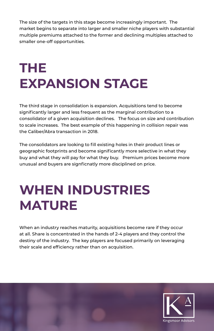The size of the targets in this stage become increasingly important. The market begins to separate into larger and smaller niche players with substantial multiple premiums attached to the former and declining multiples attached to smaller one-off opportunities.

# **THE EXPANSION STAGE**

The third stage in consolidation is expansion. Acquisitions tend to become significantly larger and less frequent as the marginal contribution to a consolidator of a given acquisition declines. The focus on size and contribution to scale increases. The best example of this happening in collision repair was the Caliber/Abra transaction in 2018.

The consolidators are looking to fill existing holes in their product lines or geographic footprints and become significantly more selective in what they buy and what they will pay for what they buy. Premium prices become more unusual and buyers are signficnatly more disciplined on price.

# **WHEN INDUSTRIES MATURE**

When an industry reaches maturity, acquisitions become rare if they occur at all. Share is concentrated in the hands of 2-4 players and they control the destiny of the industry. The key players are focused primarily on leveraging their scale and efficiency rather than on acquisition.

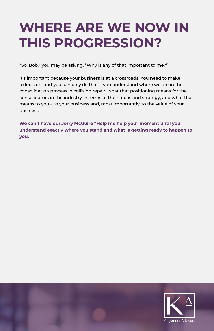## **WHERE ARE WE NOW IN THIS PROGRESSION?**

"So, Bob," you may be asking, "Why is any of that important to me?"

It's important because your business is at a crossroads. You need to make a decision, and you can only do that if you understand where we are in the consolidation process in collision repair, what that positioning means for the consolidators in the industry in terms of their focus and strategy, and what that means to you – to your business and, most importantly, to the value of your business.

**We can't have our Jerry McGuire "Help me help you" moment until you understand exactly where you stand and what is getting ready to happen to you.**

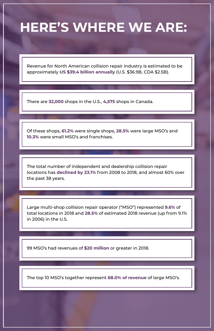## **HERE'S WHERE WE ARE:**

Revenue for North American collision repair industry is estimated to be approximately **US \$39.4 billion annually** (U.S. \$36.9B, CDA \$2.5B).

There are **32,000** shops in the U.S., **4,575** shops in Canada.

Of these shops, **61.2%** were single shops, **28.5%** were large MSO's and **10.3%** were small MSO's and franchises.

The total number of independent and dealership collision repair locations has **declined by 23.1%** from 2008 to 2018, and almost 60% over the past 38 years.

Large multi-shop collision repair operator ("MSO") represented **9.6%** of total locations in 2018 and **28.5%** of estimated 2018 revenue (up from 9.1% in 2006) in the U.S.

99 MSO's had revenues of **\$20 million** or greater in 2018.

The top 10 MSO's together represent **68.0% of revenue** of large MSO's.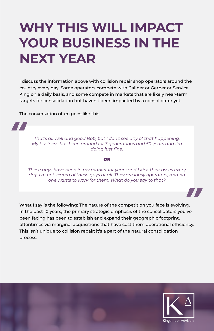# **WHY THIS WILL IMPACT YOUR BUSINESS IN THE NEXT YEAR**

I discuss the information above with collision repair shop operators around the country every day. Some operators compete with Caliber or Gerber or Service King on a daily basis, and some compete in markets that are likely near-term targets for consolidation but haven't been impacted by a consolidator yet.

The conversation often goes like this:

**Alta** 

*That's all well and good Bob, but I don't see any of that happening. My business has been around for 3 generations and 50 years and I'm doing just fine.*

#### OR

*These guys have been in my market for years and I kick their asses every day. I'm not scared of these guys at all. They are lousy operators, and no one wants to work for them. What do you say to that?*

What I say is the following: The nature of the competition you face is evolving. In the past 10 years, the primary strategic emphasis of the consolidators you've been facing has been to establish and expand their geographic footprint, oftentimes via marginal acquisitions that have cost them operational efficiency. This isn't unique to collision repair; it's a part of the natural consolidation process.



77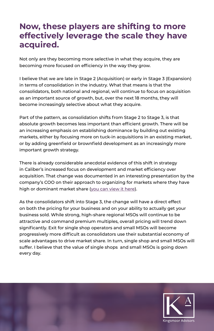#### **Now, these players are shifting to more effectively leverage the scale they have acquired.**

Not only are they becoming more selective in what they acquire, they are becoming more focused on efficiency in the way they grow.

I believe that we are late in Stage 2 (Acquisition) or early in Stage 3 (Expansion) in terms of consolidation in the industry. What that means is that the consolidators, both national and regional, will continue to focus on acquisition as an important source of growth, but, over the next 18 months, they will become increasingly selective about what they acquire.

Part of the pattern, as consolidation shifts from Stage 2 to Stage 3, is that absolute growth becomes less important than efficient growth. There will be an increasing emphasis on establishing dominance by building out existing markets, either by focusing more on tuck-in acquisitions in an existing market, or by adding greenfield or brownfield development as an increasingly more important growth strategy.

There is already considerable anecdotal evidence of this shift in strategy in Caliber's increased focus on development and market efficiency over acquisition. That change was documented in an interesting presentation by the company's COO on their approach to organizing for markets where they have high or dominant market share [\(you can view it here](https://virtual3.reutersevents.com/event/presentation-2/ .)).

As the consolidators shift into Stage 3, the change will have a direct effect on both the pricing for your business and on your ability to actually get your business sold. While strong, high-share regional MSOs will continue to be attractive and command premium multiples, overall pricing will trend down significantly. Exit for single shop operators and small MSOs will become progressively more difficult as consolidators use their substantial economy of scale advantages to drive market share. In turn, single shop and small MSOs will suffer. I believe that the value of single shops and small MSOs is going down every day.

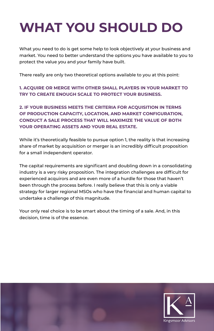# **WHAT YOU SHOULD DO**

What you need to do is get some help to look objectively at your business and market. You need to better understand the options you have available to you to protect the value you and your family have built.

There really are only two theoretical options available to you at this point:

**1. ACQUIRE OR MERGE WITH OTHER SMALL PLAYERS IN YOUR MARKET TO TRY TO CREATE ENOUGH SCALE TO PROTECT YOUR BUSINESS.**

**2. IF YOUR BUSINESS MEETS THE CRITERIA FOR ACQUISITION IN TERMS OF PRODUCTION CAPACITY, LOCATION, AND MARKET CONFIGURATION, CONDUCT A SALE PROCESS THAT WILL MAXIMIZE THE VALUE OF BOTH YOUR OPERATING ASSETS AND YOUR REAL ESTATE.**

While it's theoretically feasible to pursue option 1, the reality is that increasing share of market by acquisition or merger is an incredibly difficult proposition for a small independent operator.

The capital requirements are significant and doubling down in a consolidating industry is a very risky proposition. The integration challenges are difficult for experienced acquirors and are even more of a hurdle for those that haven't been through the process before. I really believe that this is only a viable strategy for larger regional MSOs who have the financial and human capital to undertake a challenge of this magnitude.

Your only real choice is to be smart about the timing of a sale. And, in this decision, time is of the essence.